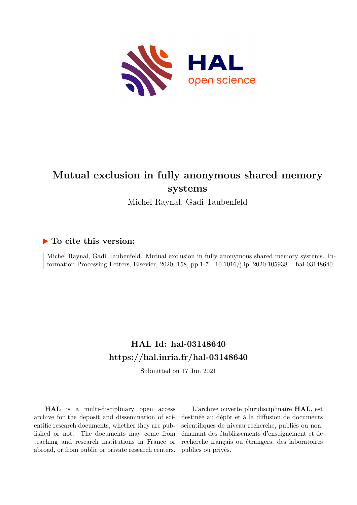

# **Mutual exclusion in fully anonymous shared memory systems**

Michel Raynal, Gadi Taubenfeld

## **To cite this version:**

Michel Raynal, Gadi Taubenfeld. Mutual exclusion in fully anonymous shared memory systems. Information Processing Letters, Elsevier, 2020, 158, pp.1-7.  $10.1016/j.$ ipl.2020.105938. hal-03148640

## **HAL Id: hal-03148640 <https://hal.inria.fr/hal-03148640>**

Submitted on 17 Jun 2021

**HAL** is a multi-disciplinary open access archive for the deposit and dissemination of scientific research documents, whether they are published or not. The documents may come from teaching and research institutions in France or abroad, or from public or private research centers.

L'archive ouverte pluridisciplinaire **HAL**, est destinée au dépôt et à la diffusion de documents scientifiques de niveau recherche, publiés ou non, émanant des établissements d'enseignement et de recherche français ou étrangers, des laboratoires publics ou privés.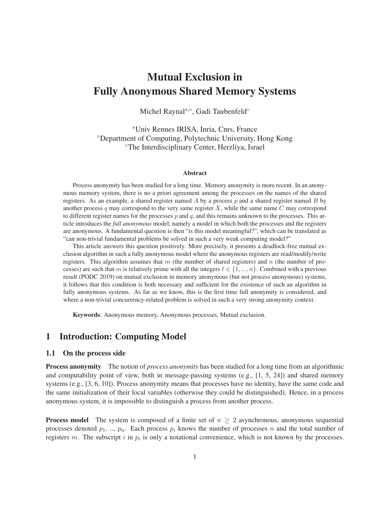## Mutual Exclusion in Fully Anonymous Shared Memory Systems

Michel Raynal<sup>∗,</sup>°, Gadi Taubenfeld<sup>∘</sup>

<sup>⋆</sup>Univ Rennes IRISA, Inria, Cnrs, France <sup>⋄</sup>Department of Computing, Polytechnic University, Hong Kong ◦The Interdisciplinary Center, Herzliya, Israel

#### Abstract

Process anonymity has been studied for a long time. Memory anonymity is more recent. In an anonymous memory system, there is no a priori agreement among the processes on the names of the shared registers. As an example, a shared register named A by a process  $p$  and a shared register named B by another process q may correspond to the very same register X, while the same name  $C$  may correspond to different register names for the processes  $p$  and  $q$ , and this remains unknown to the processes. This article introduces the *full anonymous* model, namely a model in which both the processes and the registers are anonymous. A fundamental question is then "is this model meaningful?", which can be translated as "can non-trivial fundamental problems be solved in such a very weak computing model?"

This article answers this question positively. More precisely, it presents a deadlock-free mutual exclusion algorithm in such a fully anonymous model where the anonymous registers are read/modify/write registers. This algorithm assumes that m (the number of shared registers) and n (the number of processes) are such that m is relatively prime with all the integers  $l \in \{1, ..., n\}$ . Combined with a previous result (PODC 2019) on mutual exclusion in memory anonymous (but not process anonymous) systems, it follows that this condition is both necessary and sufficient for the existence of such an algorithm in fully anonymous systems. As far as we know, this is the first time full anonymity is considered, and where a non-trivial concurrency-related problem is solved in such a very strong anonymity context.

Keywords: Anonymous memory, Anonymous processes, Mutual exclusion.

## 1 Introduction: Computing Model

#### 1.1 On the process side

**Process anonymity** The notion of *process anonymity* has been studied for a long time from an algorithmic and computability point of view, both in message-passing systems (e.g., [1, 5, 24]) and shared memory systems (e.g., [3, 6, 10]). Process anonymity means that processes have no identity, have the same code and the same initialization of their local variables (otherwise they could be distinguished). Hence, in a process anonymous system, it is impossible to distinguish a process from another process.

**Process model** The system is composed of a finite set of  $n \geq 2$  asynchronous, anonymous sequential processes denoted  $p_1, ..., p_n$ . Each process  $p_i$  knows the number of processes n and the total number of registers m. The subscript i in  $p_i$  is only a notational convenience, which is not known by the processes.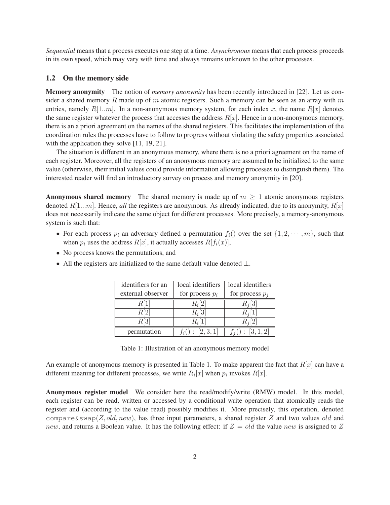*Sequential* means that a process executes one step at a time. *Asynchronous* means that each process proceeds in its own speed, which may vary with time and always remains unknown to the other processes.

### 1.2 On the memory side

Memory anonymity The notion of *memory anonymity* has been recently introduced in [22]. Let us consider a shared memory R made up of m atomic registers. Such a memory can be seen as an array with m entries, namely  $R[1..m]$ . In a non-anonymous memory system, for each index x, the name  $R[x]$  denotes the same register whatever the process that accesses the address  $R[x]$ . Hence in a non-anonymous memory, there is an a priori agreement on the names of the shared registers. This facilitates the implementation of the coordination rules the processes have to follow to progress without violating the safety properties associated with the application they solve [11, 19, 21].

The situation is different in an anonymous memory, where there is no a priori agreement on the name of each register. Moreover, all the registers of an anonymous memory are assumed to be initialized to the same value (otherwise, their initial values could provide information allowing processes to distinguish them). The interested reader will find an introductory survey on process and memory anonymity in [20].

**Anonymous shared memory** The shared memory is made up of  $m \geq 1$  atomic anonymous registers denoted  $R[1...m]$ . Hence, *all* the registers are anonymous. As already indicated, due to its anonymity,  $R[x]$ does not necessarily indicate the same object for different processes. More precisely, a memory-anonymous system is such that:

- For each process  $p_i$  an adversary defined a permutation  $f_i()$  over the set  $\{1, 2, \dots, m\}$ , such that when  $p_i$  uses the address  $R[x]$ , it actually accesses  $R[f_i(x)]$ ,
- No process knows the permutations, and
- All the registers are initialized to the same default value denoted ⊥.

| identifiers for an | local identifiers | local identifiers |
|--------------------|-------------------|-------------------|
| external observer  | for process $p_i$ | for process $p_i$ |
| R[1]               | $R_i[2]$          | $R_i[3]$          |
| R[2]               | $R_i[3]$          | $R_i[1]$          |
| R[3]               | $R_i[1]$          | $R_i[2]$          |
| permutation        | $f_i() : [2,3,1]$ | $f_i() : [3,1,2]$ |

Table 1: Illustration of an anonymous memory model

An example of anonymous memory is presented in Table 1. To make apparent the fact that  $R[x]$  can have a different meaning for different processes, we write  $R_i[x]$  when  $p_i$  invokes  $R[x]$ .

Anonymous register model We consider here the read/modify/write (RMW) model. In this model, each register can be read, written or accessed by a conditional write operation that atomically reads the register and (according to the value read) possibly modifies it. More precisely, this operation, denoted compare&swap(Z, old, new), has three input parameters, a shared register Z and two values old and new, and returns a Boolean value. It has the following effect: if  $Z = old$  the value new is assigned to Z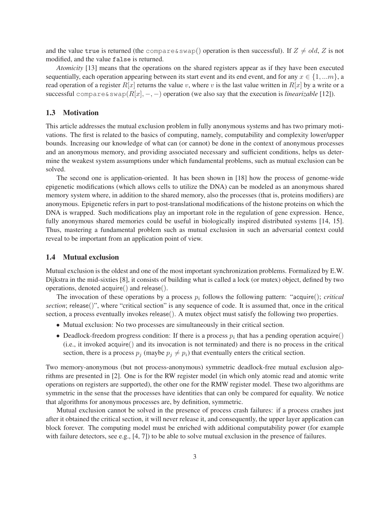and the value true is returned (the compare  $\&$  swap() operation is then successful). If  $Z \neq old$ , Z is not modified, and the value false is returned.

*Atomicity* [13] means that the operations on the shared registers appear as if they have been executed sequentially, each operation appearing between its start event and its end event, and for any  $x \in \{1, ...m\}$ , a read operation of a register  $R[x]$  returns the value v, where v is the last value written in  $R[x]$  by a write or a successful compare&swap(R[x], −, −) operation (we also say that the execution is *linearizable* [12]).

#### 1.3 Motivation

This article addresses the mutual exclusion problem in fully anonymous systems and has two primary motivations. The first is related to the basics of computing, namely, computability and complexity lower/upper bounds. Increasing our knowledge of what can (or cannot) be done in the context of anonymous processes and an anonymous memory, and providing associated necessary and sufficient conditions, helps us determine the weakest system assumptions under which fundamental problems, such as mutual exclusion can be solved.

The second one is application-oriented. It has been shown in [18] how the process of genome-wide epigenetic modifications (which allows cells to utilize the DNA) can be modeled as an anonymous shared memory system where, in addition to the shared memory, also the processes (that is, proteins modifiers) are anonymous. Epigenetic refers in part to post-translational modifications of the histone proteins on which the DNA is wrapped. Such modifications play an important role in the regulation of gene expression. Hence, fully anonymous shared memories could be useful in biologically inspired distributed systems [14, 15]. Thus, mastering a fundamental problem such as mutual exclusion in such an adversarial context could reveal to be important from an application point of view.

#### 1.4 Mutual exclusion

Mutual exclusion is the oldest and one of the most important synchronization problems. Formalized by E.W. Dijkstra in the mid-sixties [8], it consists of building what is called a lock (or mutex) object, defined by two operations, denoted acquire() and release().

The invocation of these operations by a process  $p_i$  follows the following pattern: "acquire(); *critical section*; release()", where "critical section" is any sequence of code. It is assumed that, once in the critical section, a process eventually invokes release(). A mutex object must satisfy the following two properties.

- Mutual exclusion: No two processes are simultaneously in their critical section.
- Deadlock-freedom progress condition: If there is a process  $p_i$  that has a pending operation acquire() (i.e., it invoked acquire() and its invocation is not terminated) and there is no process in the critical section, there is a process  $p_j$  (maybe  $p_j \neq p_i$ ) that eventually enters the critical section.

Two memory-anonymous (but not process-anonymous) symmetric deadlock-free mutual exclusion algorithms are presented in [2]. One is for the RW register model (in which only atomic read and atomic write operations on registers are supported), the other one for the RMW register model. These two algorithms are symmetric in the sense that the processes have identities that can only be compared for equality. We notice that algorithms for anonymous processes are, by definition, symmetric.

Mutual exclusion cannot be solved in the presence of process crash failures: if a process crashes just after it obtained the critical section, it will never release it, and consequently, the upper layer application can block forever. The computing model must be enriched with additional computability power (for example with failure detectors, see e.g., [4, 7]) to be able to solve mutual exclusion in the presence of failures.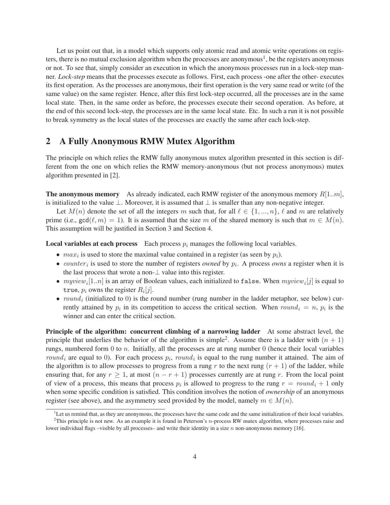Let us point out that, in a model which supports only atomic read and atomic write operations on registers, there is no mutual exclusion algorithm when the processes are anonymous<sup>1</sup>, be the registers anonymous or not. To see that, simply consider an execution in which the anonymous processes run in a lock-step manner. *Lock-step* means that the processes execute as follows. First, each process -one after the other- executes its first operation. As the processes are anonymous, their first operation is the very same read or write (of the same value) on the same register. Hence, after this first lock-step occurred, all the processes are in the same local state. Then, in the same order as before, the processes execute their second operation. As before, at the end of this second lock-step, the processes are in the same local state. Etc. In such a run it is not possible to break symmetry as the local states of the processes are exactly the same after each lock-step.

## 2 A Fully Anonymous RMW Mutex Algorithm

The principle on which relies the RMW fully anonymous mutex algorithm presented in this section is different from the one on which relies the RMW memory-anonymous (but not process anonymous) mutex algorithm presented in [2].

**The anonymous memory** As already indicated, each RMW register of the anonymous memory  $R[1..m]$ , is initialized to the value  $\perp$ . Moreover, it is assumed that  $\perp$  is smaller than any non-negative integer.

Let  $M(n)$  denote the set of all the integers m such that, for all  $\ell \in \{1, ..., n\}$ ,  $\ell$  and m are relatively prime (i.e.,  $gcd(\ell, m) = 1)$ ). It is assumed that the size m of the shared memory is such that  $m \in M(n)$ . This assumption will be justified in Section 3 and Section 4.

**Local variables at each process** Each process  $p_i$  manages the following local variables.

- $max_i$  is used to store the maximal value contained in a register (as seen by  $p_i$ ).
- *counter<sub>i</sub>* is used to store the number of registers *owned* by  $p_i$ . A process *owns* a register when it is the last process that wrote a non- $\perp$  value into this register.
- $myview_i[1..n]$  is an array of Boolean values, each initialized to false. When  $myview_i[j]$  is equal to true,  $p_i$  owns the register  $R_i[j]$ .
- round<sub>i</sub> (initialized to 0) is the round number (rung number in the ladder metaphor, see below) currently attained by  $p_i$  in its competition to access the critical section. When  $round_i = n$ ,  $p_i$  is the winner and can enter the critical section.

Principle of the algorithm: concurrent climbing of a narrowing ladder At some abstract level, the principle that underlies the behavior of the algorithm is simple<sup>2</sup>. Assume there is a ladder with  $(n + 1)$ rungs, numbered form 0 to n. Initially, all the processes are at rung number 0 (hence their local variables *round<sub>i</sub>* are equal to 0). For each process  $p_i$ , *round<sub>i</sub>* is equal to the rung number it attained. The aim of the algorithm is to allow processes to progress from a rung r to the next rung  $(r + 1)$  of the ladder, while ensuring that, for any  $r \ge 1$ , at most  $(n - r + 1)$  processes currently are at rung r. From the local point of view of a process, this means that process  $p_i$  is allowed to progress to the rung  $r = round_i + 1$  only when some specific condition is satisfied. This condition involves the notion of *ownership* of an anonymous register (see above), and the asymmetry seed provided by the model, namely  $m \in M(n)$ .

 ${}^{1}$ Let us remind that, as they are anonymous, the processes have the same code and the same initialization of their local variables.  $2$ This principle is not new. As an example it is found in Peterson's *n*-process RW mutex algorithm, where processes raise and lower individual flags –visible by all processes– and write their identity in a size  $n$  non-anonymous memory [16].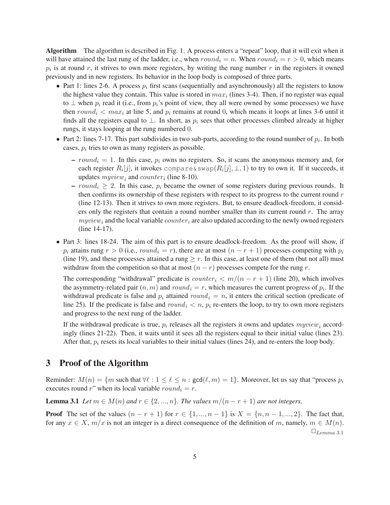Algorithm The algorithm is described in Fig. 1. A process enters a "repeat" loop, that it will exit when it will have attained the last rung of the ladder, i.e., when  $round_i = n$ . When  $round_i = r > 0$ , which means  $p_i$  is at round r, it strives to own more registers, by writing the rung number r in the registers it owned previously and in new registers. Its behavior in the loop body is composed of three parts.

- Part 1: lines 2-6. A process  $p_i$  first scans (sequentially and asynchronously) all the registers to know the highest value they contain. This value is stored in  $max_i$  (lines 3-4). Then, if no register was equal to  $\perp$  when  $p_i$  read it (i.e., from  $p_i$ 's point of view, they all were owned by some processes) we have then round<sub>i</sub>  $\lt{max_i}$  at line 5, and  $p_i$  remains at round 0, which means it loops at lines 3-6 until it finds all the registers equal to  $\perp$ . In short, as  $p_i$  sees that other processes climbed already at higher rungs, it stays looping at the rung numbered 0.
- Part 2: lines 7-17. This part subdivides in two sub-parts, according to the round number of  $p_i$ . In both cases,  $p_i$  tries to own as many registers as possible.
	- round<sub>i</sub> = 1. In this case,  $p_i$  owns no registers. So, it scans the anonymous memory and, for each register  $R_i[j],$  it invokes <code>compare&swap( $R_i[j],\bot,1)$ </code> to try to own it. If it succeeds, it updates  $myview_i$  and  $counter_i$  (line 8-10).
	- round<sub>i</sub>  $\geq 2$ . In this case,  $p_i$  became the owner of some registers during previous rounds. It then confirms its ownership of these registers with respect to its progress to the current round  $r$ (line 12-13). Then it strives to own more registers. But, to ensure deadlock-freedom, it considers only the registers that contain a round number smaller than its current round  $r$ . The array  $myview_i$  and the local variable  $counter_i$  are also updated according to the newly owned registers (line 14-17).
- Part 3: lines 18-24. The aim of this part is to ensure deadlock-freedom. As the proof will show, if  $p_i$  attains rung  $r > 0$  (i.e.,  $round_i = r$ ), there are at most  $(n - r + 1)$  processes competing with  $p_i$ (line 19), and these processes attained a rung  $\geq r$ . In this case, at least one of them (but not all) must withdraw from the competition so that at most  $(n - r)$  processes compete for the rung r.

The corresponding "withdrawal" predicate is *counter*  $i < m/(n - r + 1)$  (line 20), which involves the asymmetry-related pair  $(n, m)$  and  $round_i = r$ , which measures the current progress of  $p_i$ . If the withdrawal predicate is false and  $p_i$  attained  $round_i = n$ , it enters the critical section (predicate of line 25). If the predicate is false and  $round_i < n$ ,  $p_i$  re-enters the loop, to try to own more registers and progress to the next rung of the ladder.

If the withdrawal predicate is true,  $p_i$  releases all the registers it owns and updates  $myview_i$  accordingly (lines 21-22). Then, it waits until it sees all the registers equal to their initial value (lines 23). After that,  $p_i$  resets its local variables to their initial values (lines 24), and re-enters the loop body.

## 3 Proof of the Algorithm

Reminder:  $M(n) = \{m \text{ such that } \forall \ell : 1 \leq \ell \leq n : \gcd(\ell,m) = 1\}.$  Moreover, let us say that "process  $p_i$ executes round r" when its local variable  $round_i = r$ .

**Lemma 3.1** *Let*  $m \in M(n)$  *and*  $r \in \{2, ..., n\}$ *. The values*  $m/(n - r + 1)$  *are not integers.* 

**Proof** The set of the values  $(n - r + 1)$  for  $r \in \{1, ..., n - 1\}$  is  $X = \{n, n - 1, ..., 2\}$ . The fact that, for any  $x \in X$ ,  $m/x$  is not an integer is a direct consequence of the definition of m, namely,  $m \in M(n)$ .  $\square_{Lemma\ 3.1}$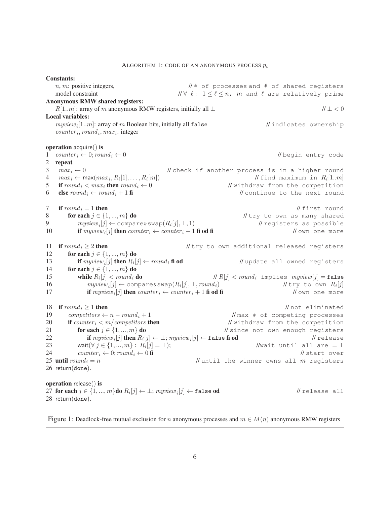Constants: n, m: positive integers,  $\frac{1}{4}$  of processes and  $\frac{1}{4}$  of shared registers model constraint  $\forall V \ell : 1 \leq \ell \leq n$ , m and  $\ell$  are relatively prime Anonymous RMW shared registers:  $R[1..m]$ : array of m anonymous RMW registers, initially all  $\perp$  //  $\perp$  //  $\perp$  //  $\perp$  //  $\perp$  //  $\perp$  //  $\perp$ Local variables:  $myview_i[1..m]$ : array of  $m$  Boolean bits, initially all false  $\qquad$  // indicates ownership  $counter_i, round_i, max_i$ : integer operation acquire() is 1  $counter_i \leftarrow 0; round_i \leftarrow 0$  // begin entry code 2 repeat 3  $max_i \leftarrow 0$  // check if another process is in a higher round  $4 \quad max_i \leftarrow \textsf{max}(max_i, R_i[1], \dots, R_i)$  $[1]$  // find maximum in  $R_i[1..m]$ 5 if  $round_i < max_i$  then  $round_i \leftarrow 0$  // withdraw from the competition 6 else  $round_i \leftarrow round_i + 1$  fi // continue to the next round 7 if  $round_i = 1$  then  $\ell$  if  $round_i$ 8 **for each**  $j \in \{1, ..., m\}$  **do** *//* try to own as many shared 9  $myview_i[j] \leftarrow \texttt{compare} \& \texttt{swap}(R_i)$ // registers as possible 10 if  $myview_i[j]$  then  $counter_i \leftarrow counter_i + 1$  fi od fi // own one more 11 if  $round_i \geq 2$  then  $// try$  to own additional released registers 12 **for each**  $j \in \{1, ..., m\}$  do 13 if  $myview_i[j]$  then  $R_i$ // update all owned registers 14 **for each**  $j \in \{1, ..., m\}$  **do** 15 while  $R_i[j] < round_i$  do  $||R[j]| < round_i$  implies  $myview[j] = false$ 16  $myview_i[j] \leftarrow \text{compare} \& \text{swap}(R_i)$  $[j], \perp, round_i$  // try to own  $R_i[j]$ 17 **if** myview<sub>i</sub>[j] **then** counter i  $\leftarrow$  counter i + 1 **fi od fi** // own one more 18 if  $round_i \geq 1$  then  $\blacksquare$  18 if  $round_i$ 19 competitors  $\leftarrow$  n - round<sub>i</sub> + 1 // max # of competing processes 20 if  $counter_i < m/competitors$  then  $\blacksquare$  // withdraw from the competition 21 **for each**  $j \in \{1, ..., m\}$  **do** *//* since not own enough registers  $22$  if  $myview_i[j]$  then  $R_i[j] \leftarrow \bot; myview_i[j] \leftarrow \mathtt{false}$  fi od // <code>release</code> 23 wait $(\forall j \in \{1, ..., m\} : R_i[j] = \bot);$  $\ell$ Wait until all are =  $\bot$ 24 counter i ← 0; round i ← 0 fi  $\blacksquare$ 25 until round<sub>i</sub> = n  $\blacksquare$  // until the winner owns all m registers 26 return(done). operation release() is 27 for each  $j \in \{1, ..., m\}$ do  $R_i[j] \leftarrow \bot$ ; myview $_i[j] \leftarrow$  false od /// release all 28 return(done).

ALGORITHM 1: CODE OF AN ANONYMOUS PROCESS  $p_i$ 

Figure 1: Deadlock-free mutual exclusion for n anonymous processes and  $m \in M(n)$  anonymous RMW registers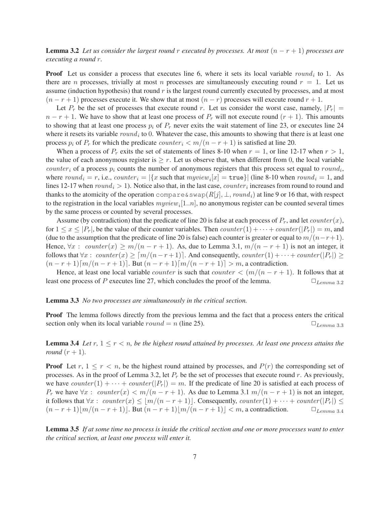**Lemma 3.2** Let us consider the largest round r executed by processes. At most  $(n - r + 1)$  processes are *executing a round* r*.*

**Proof** Let us consider a process that executes line 6, where it sets its local variable  $round_i$  to 1. As there are n processes, trivially at most n processes are simultaneously executing round  $r = 1$ . Let us assume (induction hypothesis) that round r is the largest round currently executed by processes, and at most  $(n - r + 1)$  processes execute it. We show that at most  $(n - r)$  processes will execute round  $r + 1$ .

Let  $P_r$  be the set of processes that execute round r. Let us consider the worst case, namely,  $|P_r|$  =  $n - r + 1$ . We have to show that at least one process of  $P_r$  will not execute round  $(r + 1)$ . This amounts to showing that at least one process  $p_i$  of  $P_r$  never exits the wait statement of line 23, or executes line 24 where it resets its variable  $round_i$  to 0. Whatever the case, this amounts to showing that there is at least one process  $p_i$  of  $P_r$  for which the predicate *counter*  $i < m/(n - r + 1)$  is satisfied at line 20.

When a process of  $P_r$  exits the set of statements of lines 8-10 when  $r = 1$ , or line 12-17 when  $r > 1$ , the value of each anonymous register is  $\geq r$ . Let us observe that, when different from 0, the local variable counter<sub>i</sub> of a process  $p_i$  counts the number of anonymous registers that this process set equal to round<sub>i</sub>, where  $round_i = r$ , i.e.,  $counter_i = |\{x \text{ such that } myview_i[x] = \text{true}\}|$  (line 8-10 when  $round_i = 1$ , and lines 12-17 when  $round_i > 1$ ). Notice also that, in the last case,  $counter_i$  increases from round to round and thanks to the atomicity of the operation compare&swap( $R[j], \perp, round_i$ ) at line 9 or 16 that, with respect to the registration in the local variables  $myview_i[1..n]$ , no anonymous register can be counted several times by the same process or counted by several processes.

Assume (by contradiction) that the predicate of line 20 is false at each process of  $P_r$ , and let  $counter(x)$ , for  $1 \le x \le |P_r|$ , be the value of their counter variables. Then  $counter(1) + \cdots + counter(|P_r|) = m$ , and (due to the assumption that the predicate of line 20 is false) each counter is greater or equal to  $m/(n-r+1)$ . Hence,  $\forall x : counter(x) \ge m/(n-r+1)$ . As, due to Lemma 3.1,  $m/(n-r+1)$  is not an integer, it follows that  $\forall x : counter(x) \geq \lceil m/(n-r+1) \rceil$ . And consequently,  $counter(1) + \cdots + counter(|P_r|) \geq$  $(n - r + 1)$ [m/ $(n - r + 1)$ ]. But  $(n - r + 1)$ [m/ $(n - r + 1)$ ] > m, a contradiction.

Hence, at least one local variable *counter* is such that *counter*  $\lt (m/(n-r+1))$ . It follows that at least one process of P executes line 27, which concludes the proof of the lemma.  $\square_{Lemma 3.2}$ 

#### Lemma 3.3 *No two processes are simultaneously in the critical section.*

Proof The lemma follows directly from the previous lemma and the fact that a process enters the critical section only when its local variable  $round = n$  (line 25).  $\Box$   $L_{lemma 3.3}$ 

**Lemma 3.4** Let  $r, 1 \leq r < n$ , be the highest round attained by processes. At least one process attains the *round*  $(r + 1)$ *.* 

**Proof** Let  $r, 1 \leq r < n$ , be the highest round attained by processes, and  $P(r)$  the corresponding set of processes. As in the proof of Lemma 3.2, let  $P_r$  be the set of processes that execute round r. As previously, we have  $counter(1) + \cdots + counter(|P_r|) = m$ . If the predicate of line 20 is satisfied at each process of  $P_r$  we have  $\forall x : counter(x) < m/(n-r+1)$ . As due to Lemma 3.1  $m/(n-r+1)$  is not an integer, it follows that  $\forall x : counter(x) \le |m/(n-r+1)|$ . Consequently, counter  $(1) + \cdots + counter(|P_r|) \le$  $(n-r+1)|m/(n-r+1)|$ . But  $(n-r+1)|m/(n-r+1)| < m$ , a contradiction.  $\Box$  Lemma 3.4

Lemma 3.5 *If at some time no process is inside the critical section and one or more processes want to enter the critical section, at least one process will enter it.*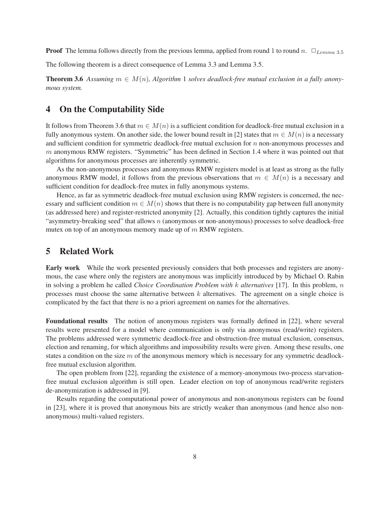**Proof** The lemma follows directly from the previous lemma, applied from round 1 to round n.  $\Box_{Lemma 3.5}$ 

The following theorem is a direct consequence of Lemma 3.3 and Lemma 3.5.

**Theorem 3.6** Assuming  $m \in M(n)$ , Algorithm 1 solves deadlock-free mutual exclusion in a fully anony*mous system.*

## 4 On the Computability Side

It follows from Theorem 3.6 that  $m \in M(n)$  is a sufficient condition for deadlock-free mutual exclusion in a fully anonymous system. On another side, the lower bound result in [2] states that  $m \in M(n)$  is a necessary and sufficient condition for symmetric deadlock-free mutual exclusion for n non-anonymous processes and m anonymous RMW registers. "Symmetric" has been defined in Section 1.4 where it was pointed out that algorithms for anonymous processes are inherently symmetric.

As the non-anonymous processes and anonymous RMW registers model is at least as strong as the fully anonymous RMW model, it follows from the previous observations that  $m \in M(n)$  is a necessary and sufficient condition for deadlock-free mutex in fully anonymous systems.

Hence, as far as symmetric deadlock-free mutual exclusion using RMW registers is concerned, the necessary and sufficient condition  $m \in M(n)$  shows that there is no computability gap between full anonymity (as addressed here) and register-restricted anonymity [2]. Actually, this condition tightly captures the initial "asymmetry-breaking seed" that allows  $n$  (anonymous or non-anonymous) processes to solve deadlock-free mutex on top of an anonymous memory made up of  $m$  RMW registers.

## 5 Related Work

Early work While the work presented previously considers that both processes and registers are anonymous, the case where only the registers are anonymous was implicitly introduced by by Michael O. Rabin in solving a problem he called *Choice Coordination Problem with* k *alternatives* [17]. In this problem, n processes must choose the same alternative between  $k$  alternatives. The agreement on a single choice is complicated by the fact that there is no a priori agreement on names for the alternatives.

Foundational results The notion of anonymous registers was formally defined in [22], where several results were presented for a model where communication is only via anonymous (read/write) registers. The problems addressed were symmetric deadlock-free and obstruction-free mutual exclusion, consensus, election and renaming, for which algorithms and impossibility results were given. Among these results, one states a condition on the size  $m$  of the anonymous memory which is necessary for any symmetric deadlockfree mutual exclusion algorithm.

The open problem from [22], regarding the existence of a memory-anonymous two-process starvationfree mutual exclusion algorithm is still open. Leader election on top of anonymous read/write registers de-anonymization is addressed in [9].

Results regarding the computational power of anonymous and non-anonymous registers can be found in [23], where it is proved that anonymous bits are strictly weaker than anonymous (and hence also nonanonymous) multi-valued registers.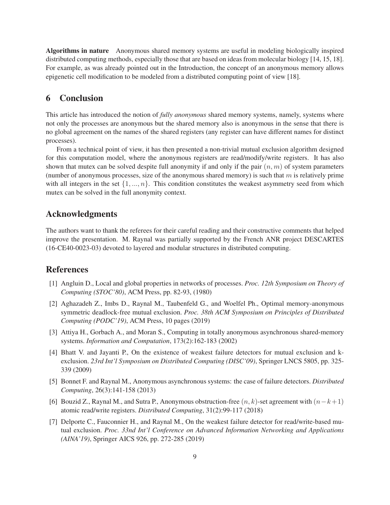Algorithms in nature Anonymous shared memory systems are useful in modeling biologically inspired distributed computing methods, especially those that are based on ideas from molecular biology [14, 15, 18]. For example, as was already pointed out in the Introduction, the concept of an anonymous memory allows epigenetic cell modification to be modeled from a distributed computing point of view [18].

## 6 Conclusion

This article has introduced the notion of *fully anonymous* shared memory systems, namely, systems where not only the processes are anonymous but the shared memory also is anonymous in the sense that there is no global agreement on the names of the shared registers (any register can have different names for distinct processes).

From a technical point of view, it has then presented a non-trivial mutual exclusion algorithm designed for this computation model, where the anonymous registers are read/modify/write registers. It has also shown that mutex can be solved despite full anonymity if and only if the pair  $(n, m)$  of system parameters (number of anonymous processes, size of the anonymous shared memory) is such that  $m$  is relatively prime with all integers in the set  $\{1, ..., n\}$ . This condition constitutes the weakest asymmetry seed from which mutex can be solved in the full anonymity context.

## Acknowledgments

The authors want to thank the referees for their careful reading and their constructive comments that helped improve the presentation. M. Raynal was partially supported by the French ANR project DESCARTES (16-CE40-0023-03) devoted to layered and modular structures in distributed computing.

## References

- [1] Angluin D., Local and global properties in networks of processes. *Proc. 12th Symposium on Theory of Computing (STOC'80)*, ACM Press, pp. 82-93, (1980)
- [2] Aghazadeh Z., Imbs D., Raynal M., Taubenfeld G., and Woelfel Ph., Optimal memory-anonymous symmetric deadlock-free mutual exclusion. *Proc. 38th ACM Symposium on Principles of Distributed Computing (PODC'19)*, ACM Press, 10 pages (2019)
- [3] Attiya H., Gorbach A., and Moran S., Computing in totally anonymous asynchronous shared-memory systems. *Information and Computation*, 173(2):162-183 (2002)
- [4] Bhatt V. and Jayanti P., On the existence of weakest failure detectors for mutual exclusion and kexclusion. *23rd Int'l Symposium on Distributed Computing (DISC'09)*, Springer LNCS 5805, pp. 325- 339 (2009)
- [5] Bonnet F. and Raynal M., Anonymous asynchronous systems: the case of failure detectors. *Distributed Computing*, 26(3):141-158 (2013)
- [6] Bouzid Z., Raynal M., and Sutra P., Anonymous obstruction-free  $(n, k)$ -set agreement with  $(n-k+1)$ atomic read/write registers. *Distributed Computing*, 31(2):99-117 (2018)
- [7] Delporte C., Fauconnier H., and Raynal M., On the weakest failure detector for read/write-based mutual exclusion. *Proc. 33nd Int'l Conference on Advanced Information Networking and Applications (AINA'19)*, Springer AICS 926, pp. 272-285 (2019)